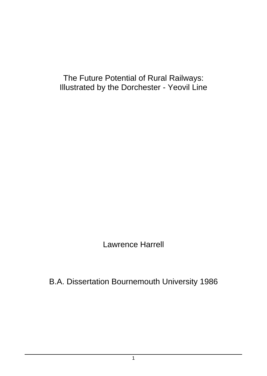# The Future Potential of Rural Railways: Illustrated by the Dorchester - Yeovil Line

Lawrence Harrell

B.A. Dissertation Bournemouth University 1986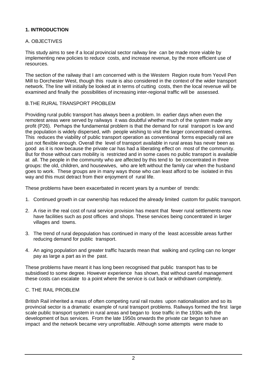## **1. INTRODUCTION**

## A. OBJECTIVES

This study aims to see if a local provincial sector railway line can be made more viable by implementing new policies to reduce costs, and increase revenue, by the more efficient use of resources.

The section of the railway that I am concerned with is the Western Region route from Yeovil Pen Mill to Dorchester West, though this route is also considered in the context of the wider transport network. The line will initially be looked at in terms of cutting costs, then the local revenue will be examined and finally the possibilities of increasing inter-regional traffic will be assessed.

## B.THE RURAL TRANSPORT PROBLEM

Providing rural public transport has always been a problem. In earlier days when even the remotest areas were served by railways it was doubtful whether much of the system made any profit (P26). Perhaps the fundamental problem is that the demand for rural transport is low and the population is widely dispersed, with people wishing to visit the larger concentrated centres. This reduces the viability of public transport operation as conventional forms especially rail are just not flexible enough. Overall the level of transport available in rural areas has never been as good as it is now because the private car has had a liberating effect on most of the community. But for those without cars mobility is restricted and in some cases no public transport is available at all. The people in the community who are affected by this tend to be concentrated in three groups: the old, children, and housewives, who are left without the family car when the husband goes to work. These groups are in many ways those who can least afford to be isolated in this way and this must detract from their enjoyment of rural life.

These problems have been exacerbated in recent years by a number of trends:

- 1. Continued growth in car ownership has reduced the already limited custom for public transport.
- 2. A rise in the real cost of rural service provision has meant that fewer rural settlements now have facilities such as post offices and shops. These services being concentrated in larger villages and towns.
- 3. The trend of rural depopulation has continued in many of the least accessible areas further reducing demand for public transport.
- 4. An aging population and greater traffic hazards mean that walking and cycling can no longer pay as large a part as in the past.

These problems have meant it has long been recognised that public transport has to be subsidised to some degree. However experience has shown, that without careful management these costs can escalate to a point where the service is cut back or withdrawn completely.

#### C. THE RAIL PROBLEM

British Rail inherited a mass of often competing rural rail routes upon nationalisation and so its provincial sector is a dramatic example of rural transport problems. Railways formed the first large scale public transport system in rural areas and began to lose traffic in the 1930s with the development of bus services. From the late 1950s onwards the private car began to have an impact and the network became very unprofitable. Although some attempts were made to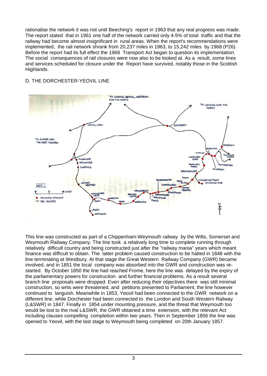rationalise the network it was not until Beeching's report in 1963 that any real progress was made. The report stated that in 1961 one half of the network carried only 4-5% of total traffic and that the railway had become almost insignificant in rural areas. When the report's recommendations were implemented, the rail network shrank from 20,237 miles in 1963, to 15,242 miles by 1968 (P26). Before the report had its full effect the 1968 Transport Act began to question its implementation. The social consequences of rail closures were now also to be looked at. As a result, some lines and services scheduled for closure under the Report have survived, notably those in the Scottish Highlands.



## D. THE DORCHESTER-YEOVIL LINE

This line was constructed as part of a Chippenham-Weymouth railway by the Wilts, Somerset and Weymouth Railway Company. The line took a relatively long time to complete running through relatively difficult country and being constructed just after the "railway mania" years which meant finance was difficult to obtain. The latter problem caused construction to be halted in 1848 with the line terminating at Westbury. At that stage the Great Western Railway Company (GWR) became involved, and in 1851 the local company was absorbed into the GWR and construction was restarted. By October 1850 the line had reached Frome, here the line was delayed by the expiry of the parliamentary powers for construction and further financial problems. As a result several branch line proposals were dropped. Even after reducing their objectives there was still minimal construction, so writs were threatened, and petitions presented to Parliament, the line however continued to languish. Meanwhile in 1853, Yeovil had been connected to the GWR network on a different line, while Dorchester had been connected to the London and South Western Railway (L&SWR) in 1847. Finally in 1854 under mounting pressure, and the threat that Weymouth too would be lost to the rival L&SWR, the GWR obtained a time extension, with the relevant Act including clauses compelling completion within two years. Then in September 1856 the line was opened to Yeovil, with the last stage to Weymouth being completed on 20th January 1857.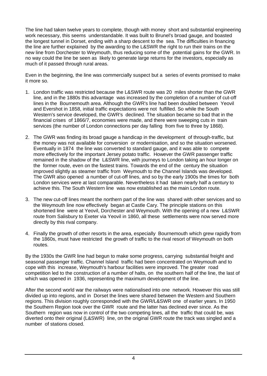The line had taken twelve years to complete, though with money short and substantial engineering work necessary, this seems understandable. It was built to Brunel's broad gauge, and boasted the longest tunnel in Dorset, ending with a sharp descent to the sea. The difficulties in financing the line are further explained by the awarding to the L&SWR the right to run their trains on the new line from Dorchester to Weymouth, thus reducing some of the potential gains for the GWR. In no way could the line be seen as likely to generate large returns for the investors, especially as much of it passed through rural areas.

Even in the beginning, the line was commercially suspect but a series of events promised to make it more so.

- 1. London traffic was restricted because the L&SWR route was 20 miles shorter than the GWR line, and in the 1880s this advantage was increased by the completion of a number of cut-off lines in the Bournemouth area. Although the GWR's line had been doubled between Yeovil and Evershot in 1858, initial traffic expectations were not fulfilled. So while the South Western's service developed, the GWR's declined. The situation became so bad that in the financial crises of 1866/7, economies were made, and there were sweeping cuts in train services (the number of London connections per day falling from five to three by 1868).
- 2. The GWR was finding its broad gauge a handicap in the development of through-traffic, but the money was not available for conversion or modernisation, and so the situation worsened. Eventually in 1874 the line was converted to standard gauge, and it was able to compete more effectively for the important Jersey potato traffic. However the GWR passenger traffic remained in the shadow of the L&SWR line, with journeys to London taking an hour longer on the former route, even on the fastest trains. Towards the end of the century the situation improved slightly as steamer traffic from Weymouth to the Channel Islands was developed. The GWR also opened a number of cut-off lines, and so by the early 1900s the times for both London services were at last comparable. Nevertheless it had taken nearly half a century to achieve this. The South Western line was now established as the main London route.
- 3. The new cut-off lines meant the northern part of the line was shared with other services and so the Weymouth line now effectively began at Castle Cary. The principle stations on this shortened line were at Yeovil, Dorchester and Weymouth. With the opening of a new L&SWR route from Salisbury to Exeter via Yeovil in 1860, all these settlements were now served more directly by this rival company.
- 4. Finally the growth of other resorts in the area, especially Bournemouth which grew rapidly from the 1860s, must have restricted the growth of traffic to the rival resort of Weymouth on both routes.

By the 1930s the GWR line had begun to make some progress, carrying substantial freight and seasonal passenger traffic. Channel Island traffic had been concentrated on Weymouth and to cope with this increase, Weymouth's harbour facilities were improved. The greater road competition led to the construction of a number of halts, on the southern half of the line, the last of which was opened in 1936, representing the maximum development of the line.

After the second world war the railways were nationalised into one network. However this was still divided up into regions, and in Dorset the lines were shared between the Western and Southern regions. This division roughly corresponded with the GWR/L&SWR one of earlier years. In 1950 the Southern Region took over the GWR route and the latter has declined ever since. As the Southern region was now in control of the two competing lines, all the traffic that could be, was diverted onto their original (L&SWR) line, on the original GWR route the track was singled and a number of stations closed.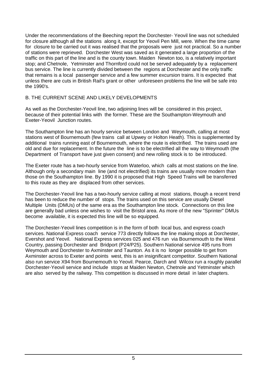Under the recommendations of the Beeching report the Dorchester- Yeovil line was not scheduled for closure although all the stations along it, except for Yeovil Pen Mill, were. When the time came for closure to be carried out it was realised that the proposals were just not practical. So a number of stations were reprieved. Dorchester West was saved as it generated a large proportion of the traffic on this part of the line and is the county town. Maiden Newton too, is a relatively important stop; and Chetnole, Yetminster and Thornford could not be served adequately by a replacement bus service. The line is currently divided between the regions at Dorchester and the only traffic that remains is a local passenger service and a few summer excursion trains. It is expected that unless there are cuts in British Rail's grant or other unforeseen problems the line will be safe into the 1990's.

## B. THE CURRENT SCENE AND LIKELY DEVELOPMENTS

As well as the Dorchester-Yeovil line, two adjoining lines will be considered in this project, because of their potential links with the former. These are the Southampton-Weymouth and Exeter-Yeovil Junction routes.

The Southampton line has an hourly service between London and Weymouth, calling at most stations west of Bournemouth (few trains call at Upwey or Holton Heath). This is supplemented by additional trains running east of Bournemouth, where the route is electrified. The trains used are old and due for replacement. In the future the line is to be electrified all the way to Weymouth (the Department of Transport have just given consent) and new rolling stock is to be introduced.

The Exeter route has a two-hourly service from Waterloo, which calls at most stations on the line. Although only a secondary main line (and not electrified) its trains are usually more modern than those on the Southampton line. By 1990 it is proposed that High Speed Trains will be transferred to this route as they are displaced from other services.

The Dorchester-Yeovil line has a two-hourly service calling at most stations, though a recent trend has been to reduce the number of stops. The trains used on this service are usually Diesel Multiple Units (DMUs) of the same era as the Southampton line stock. Connections on this line are generally bad unless one wishes to visit the Bristol area. As more of the new "Sprinter" DMUs become available, it is expected this line will be so equipped.

The Dorchester-Yeovil lines competition is in the form of both local bus, and express coach services. National Express coach service 773 directly follows the line making stops at Dorchester, Evershot and Yeovil. National Express services 025 and 476 run via Bournemouth to the West Country, passing Dorchester and Bridport (P24/P25). Southern National service 495 runs from Weymouth and Dorchester to Axminster and Taunton. As it is no longer possible to get from Axminster across to Exeter and points west, this is an insignificant competitor. Southern National also run service X94 from Bournemouth to Yeovil. Pearce, Darch and Wilcox run a roughly parallel Dorchester-Yeovil service and include stops at Maiden Newton, Chetnole and Yetminster which are also served by the railway. This competition is discussed in more detail in later chapters.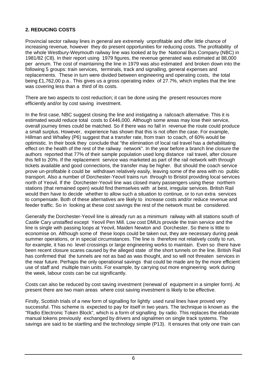## **2. REDUCING COSTS**

Provincial sector railway lines in general are extremely unprofitable and offer little chance of increasing revenue, however they do present opportunities for reducing costs. The profitability of the whole Westbury-Weymouth railway line was looked at by the National Bus Company (NBC) in 1981/82 (C8). In their report using 1979 figures, the revenue generated was estimated at 88,000 per annum. The cost of maintaining the line in 1979 was also estimated and broken down into the following 5 groups: train services, terminals, track and signalling, general expenses and replacements. These in turn were divided between engineering and operating costs, the total being £1,762,00 p.a.. This gives us a gross operating index of 27.7%, which implies that the line was covering less than a third of its costs.

There are two aspects to cost reduction; it can be done using the present resources more efficiently and/or by cost saving investment.

In the first case. NBC suggest closing the line and instigating a railcoach alternative. This it is estimated would reduce total costs to £446,000. Although some areas may lose their service, overall journey times could be matched. So if there was no fall in revenue the route could produce a small surplus. However, experience has shown that this is not often the case. For example, Hillman and Whalley (P6) suggest that a transfer rate, from train to coach, of 60% would be optimistic. In their book they conclude that "the elimination of local rail travel has a dehabilitating effect on the health of the rest of the railway network". In the year before a branch line closure the authors reported that 77% of their sample population used long distance rail travel, after closure this fell to 20%. If the replacement service was marketed as part of the rail network with through tickets available and good connections, the transfer may be higher. But should the coach service prove un-profitable it could be withdrawn relatively easily, leaving some of the area with no public transport. Also a number of Dorchester-Yeovil trains run through to Bristol providing local services north of Yeovil. If the Dorchester-Yeovil line was closed many passengers using these northern stations (that remained open) would find themselves with at best, irregular services. British Rail would then have to decide whether to allow such a situation to continue, or to run extra services to compensate. Both of these alternatives are likely to increase costs and/or reduce revenue and feeder traffic. So in looking at these cost savings the rest of the network must be considered.

Generally the Dorchester-Yeovil line is already run as a minimum railway with all stations south of Castle Cary unstaffed except Yeovil Pen Mill. Low cost DMUs provide the train service and the line is single with passing loops at Yeovil, Maiden Newton and Dorchester. So there is little to economise on. Although some of these loops could be taken out, they are necessary during peak summer operations, or in special circumstances. The line is therefore not relatively costly to run, for example, it has no level crossings or large engineering works to maintain. Even so there have been recent closure scares caused by the alleged state of the short tunnels on the line. British Rail has confirmed that the tunnels are not as bad as was thought, and so will not threaten services in the near future. Perhaps the only operational savings that could be made are by the more efficient use of staff and multiple train units. For example, by carrying out more engineering work during the week, labour costs can be cut significantly.

Costs can also be reduced by cost saving investment (renewal of equipment in a simpler form). At present there are two main areas where cost saving investment is likely to be effective.

Firstly, Scottish trials of a new form of signalling for lightly used rural lines have proved very successful. This scheme is expected to pay for itself in two years. The technique is known as the "Radio Electronic Token Block", which is a form of signalling by radio. This replaces the elaborate manual tokens previously exchanged by drivers and signalmen on single track systems. The savings are said to be startling and the technology simple (P13). It ensures that only one train can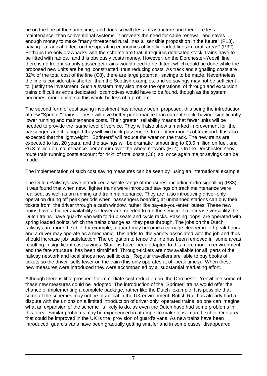be on the line at the same time, and does so with less infrastructure and therefore less maintenance than conventional systems. It prevents the need for cable renewal and saves enough money to make "many threatened rural lines a sensible proposition in the future" (P13), having "a radical effect on the operating economics of lightly loaded lines in rural areas" (P32). Perhaps the only drawbacks with the scheme are that it requires dedicated stock, trains have to be fitted with radios, and this obviously costs money. However, on the Dorchester-Yeovil line there is no freight so only passenger trains would need to be fitted, which could be done while the proposed new units are being constructed, thus reducing costs. As track and signalling costs are 32% of the total cost of the line (C8), there are large potential savings to be made. Nevertheless the line is considerably shorter than the Scottish examples, and so savings may not be sufficient to justify the investment. Such a system may also make the operations of through and excursion trains difficult as extra dedicated locomotives would have to be found, though as the system becomes more universal this would be less of a problem.

The second form of cost saving investment has already been proposed, this being the introduction of new "Sprinter" trains. These will give better performance than current stock, having significantly lower running and maintenance costs. Their greater reliability means that fewer units will be needed to provide the same level of service. They will also show a marked improvement for the passenger, and it is hoped they will win back passengers from other modes of transport. It is also expected that the lightweight "Sprinters" will reduce the wear on the track. The new trains are expected to last 20 years, and the savings will be dramatic amounting to £3.5 million on fuel, and £6.3 million on maintenance per annum over the whole network (P14). On the Dorchester-Yeovil route train running costs account for 44% of total costs (C8), so once again major savings can be made.

The implementation of such cost saving measures can be seen by using an international example.

The Dutch Railways have introduced a whole range of measures including radio signalling (P33). It was found that when new, lighter trains were introduced savings on track maintenance were realised, as well as on running and train maintenance. They are also introducing driver-only operation during off peak periods when passengers boarding at unmanned stations can buy their tickets from the driver through a cash window, rather like pay-as-you-enter buses. These new trains have a higher availability so fewer are needed to run the service. To increase versatility the Dutch trains have guard's van with fold-up seats and cycle racks. Passing loops are operated with spring loaded points, which the trains change as they pass through. The jobs on the Dutch railways are more flexible, for example, a guard may become a carriage cleaner in off-peak hours and a driver may operate as a mechanic. This adds to the variety associated with the job and thus should increase job satisfaction. The obligation to fence the line has been removed in some areas resulting in significant cost savings. Stations have been adapted to this more modern environment and the fare structure has been simplified. Through-tickets are now available for all parts of the railway network and local shops now sell tickets. Regular travellers are able to buy books of tickets so the driver sells fewer on the train (this only operates at off-peak times). When these new measures were introduced they were accompanied by a substantial marketing effort.

Although there is little prospect for immediate cost reduction on the Dorchester-Yeovil line some of these new measures could be adopted. The introduction of the "Sprinter" trains would offer the chance of implementing a complete package, rather like the Dutch example. It is possible that some of the schemes may not be practical in the UK environment. British Rail has already had a dispute with the unions on a limited introduction of driver only operated trains, so one can imagine what an expansion of the scheme is likely to do, as even the Dutch have had some problems in this area. Similar problems may be experienced in attempts to make jobs more flexible. One area that could be improved in the UK is the provision of guard's vans. As new trains have been introduced guard's vans have been gradually getting smaller and in some cases disappeared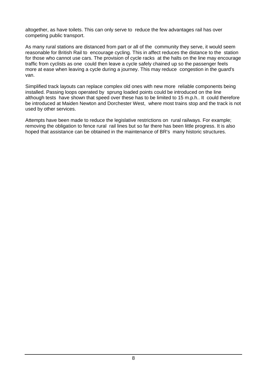altogether, as have toilets. This can only serve to reduce the few advantages rail has over competing public transport.

As many rural stations are distanced from part or all of the community they serve, it would seem reasonable for British Rail to encourage cycling. This in affect reduces the distance to the station for those who cannot use cars. The provision of cycle racks at the halts on the line may encourage traffic from cyclists as one could then leave a cycle safely chained up so the passenger feels more at ease when leaving a cycle during a journey. This may reduce congestion in the guard's van.

Simplified track layouts can replace complex old ones with new more reliable components being installed. Passing loops operated by sprung loaded points could be introduced on the line although tests have shown that speed over these has to be limited to 15 m.p.h.. It could therefore be introduced at Maiden Newton and Dorchester West, where most trains stop and the track is not used by other services.

Attempts have been made to reduce the legislative restrictions on rural railways. For example; removing the obligation to fence rural rail lines but so far there has been little progress. It is also hoped that assistance can be obtained in the maintenance of BR's many historic structures.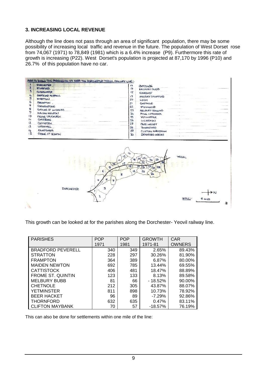## **3. INCREASING LOCAL REVENUE**

Although the line does not pass through an area of significant population, there may be some possibility of increasing local traffic and revenue in the future. The population of West Dorset rose from 74,067 (1971) to 78,849 (1981) which is a 6.4% increase (P9). Furthermore this rate of growth is increasing (P22). West Dorset's population is projected at 87,170 by 1996 (P10) and 26.7% of this population have no car.



This growth can be looked at for the parishes along the Dorchester- Yeovil railway line.

| <b>PARISHES</b>          | <b>POP</b> | <b>POP</b> | <b>GROWTH</b> | <b>CAR</b>    |
|--------------------------|------------|------------|---------------|---------------|
|                          | 1971       | 1981       | 1971-81       | <b>OWNERS</b> |
| <b>BRADFORD PEVERELL</b> | 340        | 349        | 2.65%         | 89.43%        |
| <b>STRATTON</b>          | 228        | 297        | 30.26%        | 81.90%        |
| <b>FRAMPTON</b>          | 364        | 389        | 6.87%         | 80.00%        |
| <b>MAIDEN NEWTON</b>     | 692        | 785        | 13.44%        | 69.55%        |
| <b>CATTISTOCK</b>        | 406        | 481        | 18.47%        | 88.89%        |
| <b>FROME ST. QUINTIN</b> | 123        | 133        | 8.13%         | 89.58%        |
| <b>MELBURY BUBB</b>      | 81         | 66         | $-18.52%$     | 90.00%        |
| <b>CHETNOLE</b>          | 212        | 305        | 43.87%        | 88.07%        |
| <b>YETMINSTER</b>        | 811        | 898        | 10.73%        | 78.92%        |
| <b>BEER HACKET</b>       | 96         | 89         | $-7.29%$      | 92.86%        |
| <b>THORNFORD</b>         | 632        | 635        | 0.47%         | 83.11%        |
| <b>CLIFTON MAYBANK</b>   | 70         | 57         | $-18.57%$     | 76.19%        |

This can also be done for settlements within one mile of the line: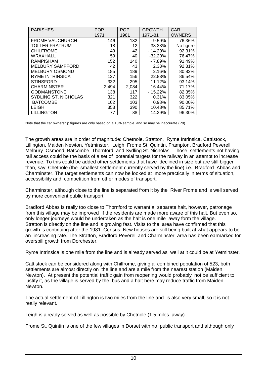| <b>PARISHES</b>         | POP   | <b>POP</b> | <b>GROWTH</b> | <b>CAR</b>    |
|-------------------------|-------|------------|---------------|---------------|
|                         | 1971  | 1981       | 1971-81       | <b>OWNERS</b> |
| <b>FROME VAUCHURCH</b>  | 146   | 132        | $-9.59%$      | 76.36%        |
| TOLLER FRATRUM          | 18    | 12         | $-33.33\%$    | No figure     |
| <b>CHILFROME</b>        | 49    | 42         | $-14.29%$     | 92.31%        |
| WRAXHALL                | 59    | 40         | $-32.20%$     | 76.47%        |
| <b>RAMPISHAM</b>        | 152   | 140        | $-7.89%$      | 91.49%        |
| <b>MELBURY SAMPFORD</b> | 42    | 43         | 2.38%         | 92.31%        |
| <b>MELBURY OSMOND</b>   | 185   | 189        | 2.16%         | 80.82%        |
| <b>RYME INTRINSICA</b>  | 127   | 156        | 22.83%        | 86.54%        |
| <b>STINSFORD</b>        | 332   | 295        | $-11.12%$     | 93.14%        |
| <b>CHARMINSTER</b>      | 2,494 | 2,084      | $-16.44%$     | 71.17%        |
| <b>GODMANSTONE</b>      | 138   | 117        | $-15.22\%$    | 82.35%        |
| SYDLING ST. NICHOLAS    | 321   | 322        | 0.31%         | 83.05%        |
| <b>BATCOMBE</b>         | 102   | 103        | 0.98%         | 90.00%        |
| <b>LEIGH</b>            | 353   | 390        | 10.48%        | 85.71%        |
| <b>LILLINGTON</b>       | 77    | 88         | 14.29%        | 96.30%        |

Note that the car ownership figures are only based on a 10% sample and so may be inaccurate (P9).

The growth areas are in order of magnitude: Chetnole, Stratton, Ryme Intrinsica, Cattistock, Lillington, Maiden Newton, Yetminster, Leigh, Frome St. Quintin, Frampton, Bradford Peverell, Melbury Osmond, Batcombe, Thornford, and Sydling St. Nicholas. Those settlements not having rail access could be the basis of a set of potential targets for the railway in an attempt to increase revenue. To this could be added other settlements that have declined in size but are still bigger than, say, Chetnole (the smallest settlement currently served by the line) i.e., Bradford Abbas and Charminster. The target settlements can now be looked at more practically in terms of situation, accessibility and competition from other modes of transport.

Charminster, although close to the line is separated from it by the River Frome and is well served by more convenient public transport.

Bradford Abbas is really too close to Thornford to warrant a separate halt, however, patronage from this village may be improved if the residents are made more aware of this halt. But even so, only longer journeys would be undertaken as the halt is one mile away form the village. Stratton is directly on the line and is growing fast. Visits to the area have confirmed that this growth is continuing after the 1981 Census. New houses are still being built at what appears to be an increasing rate. The Stratton, Bradford Peverell and Charminster area has been earmarked for overspill growth from Dorchester.

Ryme Intrinsica is one mile from the line and is already served as well at it could be at Yetminster.

Cattistock can be considered along with Chilfrome, giving a combined population of 523, both settlements are almost directly on the line and are a mile from the nearest station (Maiden Newton). At present the potential traffic gain from reopening would probably not be sufficient to justify it, as the village is served by the bus and a halt here may reduce traffic from Maiden Newton.

The actual settlement of Lillington is two miles from the line and is also very small, so it is not really relevant.

Leigh is already served as well as possible by Chetnole (1.5 miles away).

Frome St. Quintin is one of the few villages in Dorset with no public transport and although only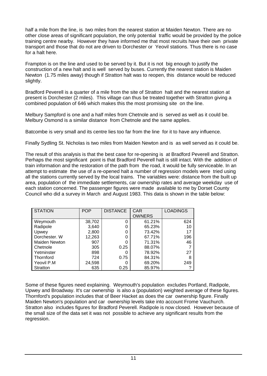half a mile from the line, is two miles from the nearest station at Maiden Newton. There are no other close areas of significant population, the only potential traffic would be provided by the police training centre nearby. However they have informed me that most recruits have their own private transport and those that do not are driven to Dorchester or Yeovil stations. Thus there is no case for a halt here.

Frampton is on the line and used to be served by it. But it is not big enough to justify the construction of a new halt and is well served by buses. Currently the nearest station is Maiden Newton (1.75 miles away) though if Stratton halt was to reopen, this distance would be reduced slightly.

Bradford Peverell is a quarter of a mile from the site of Stratton halt and the nearest station at present is Dorchester (2 miles). This village can thus be treated together with Stratton giving a combined population of 646 which makes this the most promising site on the line.

Melbury Sampford is one and a half miles from Chetnole and is served as well as it could be. Melbury Osmond is a similar distance from Chetnole and the same applies.

Batcombe is very small and its centre lies too far from the line for it to have any influence.

Finally Sydling St. Nicholas is two miles from Maiden Newton and is as well served as it could be.

The result of this analysis is that the best case for re-opening is at Bradford Peverell and Stratton. Perhaps the most significant point is that Bradford Peverell halt is still intact. With the addition of train information and the restoration of the path from the road, it would be fully serviceable. In an attempt to estimate the use of a re-opened halt a number of regression models were tried using all the stations currently served by the local trains. The variables were: distance from the built up area, population of the immediate settlements, car ownership rates and average weekday use of each station concerned. The passenger figures were made available to me by Dorset County Council who did a survey in March and August 1983. This data is shown in the table below:

| <b>STATION</b>       | <b>POP</b> | <b>DISTANCE</b> | <b>CAR</b>    | <b>LOADINGS</b> |
|----------------------|------------|-----------------|---------------|-----------------|
|                      |            |                 | <b>OWNERS</b> |                 |
| Weymouth             | 38,702     | 0               | 61.21%        | 624             |
| Radipole             | 3,640      | 0               | 65.23%        | 10              |
| Upwey                | 2,800      | 0               | 73.42%        | 17              |
| Dorchester. W        | 12,263     | 0               | 67.71%        | 196             |
| <b>Maiden Newton</b> | 907        | 0               | 71.31%        | 46              |
| Chetnole             | 305        | 0.25            | 88.07%        |                 |
| Yetminster           | 898        | 0               | 78.92%        | 27              |
| Thornford            | 724        | 0.75            | 84.31%        | 8               |
| Yeovil P.M           | 24,598     |                 | 69.20%        | 249             |
| Stratton             | 635        | 0.25            | 85.97%        |                 |

Some of these figures need explaining. Weymouth's population excludes Portland, Radipole, Upwey and Broadway. It's car ownership is also a (population) weighted average of these figures. Thornford's population includes that of Beer Hacket as does the car ownership figure. Finally Maiden Newton's population and car ownership levels take into account Frome Vauchurch. Stratton also includes figures for Bradford Peverell. Radipole is now closed. However because of the small size of the data set it was not possible to achieve any significant results from the regression.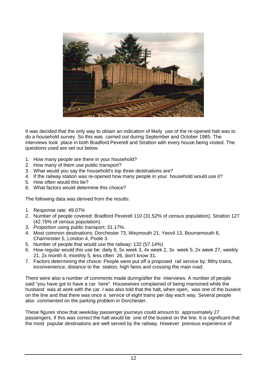

It was decided that the only way to obtain an indication of likely use of the re-opened halt was to do a household survey. So this was carried out during September and October 1985. The interviews took place in both Bradford Peverell and Stratton with every house being visited. The questions used are set out below.

- 1. How many people are there in your household?
- 2. How many of them use public transport?
- 3. What would you say the household's top three destinations are?
- 4. If the railway station was re-opened how many people in your household would use it?
- 5. How often would this be?
- 6. What factors would determine this choice?

The following data was derived from the results:

- 1. Response rate: 49.07%
- 2. Number of people covered: Bradford Peverell 110 (31.52% of census population). Stratton 127 (42.76% of census population).
- 3. Proportion using public transport: 31.17%.
- 4. Most common destinations: Dorchester 73, Weymouth 21, Yeovil 13, Bournemouth 8, Charminster 5, London 4, Poole 3.
- 5. Number of people that would use the railway: 132 (57.14%)
- 6. How regular would this use be: daily 8, 5x week 3, 4x week 2, 3x week 5, 2x week 27, weekly 21, 2x month 4, monthly 5, less often 26, don't know 31.
- 7. Factors determining the choice: People were put off a proposed rail service by: filthy trains, inconvenience, distance to the station, high fares and crossing the main road.

There were also a number of comments made during/after the interviews. A number of people said "you have got to have a car here". Housewives complained of being marooned while the husband was at work with the car. I was also told that the halt, when open, was one of the busiest on the line and that there was once a service of eight trains per day each way. Several people also commented on the parking problem in Dorchester.

These figures show that weekday passenger journeys could amount to approximately 27 passengers. If this was correct the halt would be one of the busiest on the line. It is significant that the most popular destinations are well served by the railway. However previous experience of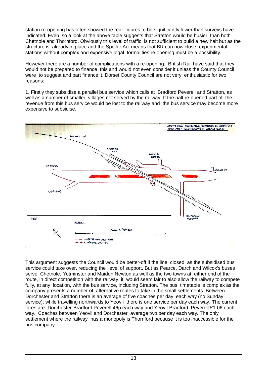station re-opening has often showed the real figures to be significantly lower than surveys have indicated. Even so a look at the above table suggests that Stratton would be busier than both Chetnole and Thornford. Obviously this level of traffic is not sufficient to build a new halt but as the structure is already in place and the Speller Act means that BR can now close experimental stations without complex and expensive legal formalities re-opening must be a possibility.

However there are a number of complications with a re-opening. British Rail have said that they would not be prepared to finance this and would not even consider it unless the County Council were to suggest and part finance it. Dorset County Council are not very enthusiastic for two reasons:

1. Firstly they subsidise a parallel bus service which calls at Bradford Peverell and Stratton, as well as a number of smaller villages not served by the railway. If the halt re-opened part of the revenue from this bus service would be lost to the railway and the bus service may become more expensive to subsidise.



This argument suggests the Council would be better-off if the line closed, as the subsidised bus service could take over, reducing the level of support. But as Pearce, Darch and Wilcox's buses serve Chetnole, Yetminster and Maiden Newton as well as the two towns at either end of the route, in direct competition with the railway, it would seem fair to also allow the railway to compete fully, at any location, with the bus service, including Stratton. The bus timetable is complex as the company presents a number of alternative routes to take in the small settlements. Between Dorchester and Stratton there is an average of five coaches per day each way (no Sunday service), while travelling northwards to Yeovil there is one service per day each way. The current fares are Dorchester-Bradford Peverell 46p each way and Yeovil-Bradford Peverell £1.06 each way. Coaches between Yeovil and Dorchester average two per day each way. The only settlement where the railway has a monopoly is Thornford because it is too inaccessible for the bus company.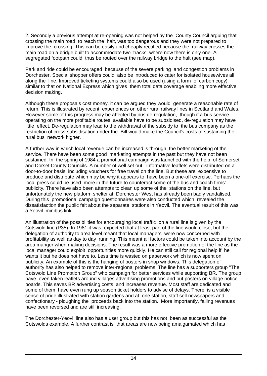2. Secondly a previous attempt at re-opening was not helped by the County Council arguing that crossing the main road, to reach the halt, was too dangerous and they were not prepared to improve the crossing. This can be easily and cheaply rectified because the railway crosses the main road on a bridge built to accommodate two tracks, where now there is only one. A segregated footpath could thus be routed over the railway bridge to the halt (see map).

Park and ride could be encouraged because of the severe parking and congestion problems in Dorchester. Special shopper offers could also be introduced to cater for isolated housewives all along the line. Improved ticketing systems could also be used (using a form of carbon copy) similar to that on National Express which gives them total data coverage enabling more effective decision making.

Although these proposals cost money, it can be argued they would generate a reasonable rate of return. This is illustrated by recent experiences on other rural railway lines in Scotland and Wales. However some of this progress may be affected by bus de-regulation, though if a bus service operating on the more profitable routes available have to be subsidised, de-regulation may have little effect. De-regulation may lead to the withdrawal of the subsidy to the bus company as the restriction of cross-subsidisation under the Bill would make the Council's costs of sustaining the rural bus network higher.

A further way in which local revenue can be increased is through the better marketing of the service. There have been some good marketing attempts in the past but they have not been sustained. In the spring of 1984 a promotional campaign was launched with the help of Somerset and Dorset County Councils. A number of well set out, informative leaflets were distributed on a door-to-door basis including vouchers for free travel on the line. But these are expensive to produce and distribute which may be why it appears to have been a one-off exercise. Perhaps the local press could be used more in the future to counteract some of the bus and coach firms' publicity. There have also been attempts to clean up some of the stations on the line, but unfortunately the new platform shelter at Dorchester West has already been badly vandalised. During this promotional campaign questionnaires were also conducted which revealed the dissatisfaction the public felt about the separate stations in Yeovil. The eventual result of this was a Yeovil minibus link.

An illustration of the possibilities for encouraging local traffic on a rural line is given by the Cotswold line (P35). In 1981 it was expected that at least part of the line would close, but the delegation of authority to area level meant that local managers were now concerned with profitability as well as day to day running. This meant all factors could be taken into account by the area manger when making decisions. The result was a more effective promotion of the line as the local manager could exploit opportunities more quickly. He can still call for regional help if he wants it but he does not have to. Less time is wasted on paperwork which is now spent on publicity. An example of this is the hanging of posters in shop windows. This delegation of authority has also helped to remove inter-regional problems. The line has a supporters group "The Cotswold Line Promotion Group" who campaign for better services while supporting BR. The group have even taken leaflets around villages advertising promotions and put posters on village notice boards. This saves BR advertising costs and increases revenue. Most staff are dedicated and some of them have even rung up season ticket holders to advise of delays. There is a visible sense of pride illustrated with station gardens and at one station, staff sell newspapers and confectionary - ploughing the proceeds back into the station. More importantly, falling revenues have been reversed and are still increasing.

The Dorchester-Yeovil line also has a user group but this has not been as successful as the Cotswolds example. A further contrast is that areas are now being amalgamated which has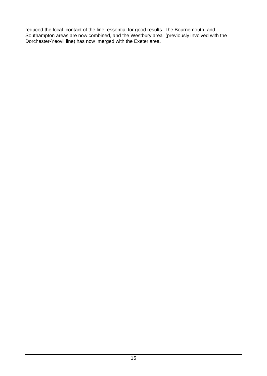reduced the local contact of the line, essential for good results. The Bournemouth and Southampton areas are now combined, and the Westbury area (previously involved with the Dorchester-Yeovil line) has now merged with the Exeter area.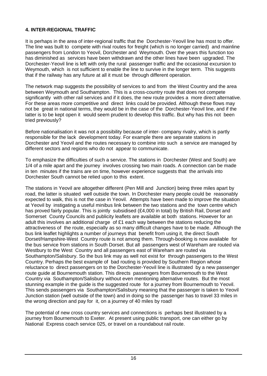## **4. INTER-REGIONAL TRAFFIC**

It is perhaps in the area of inter-regional traffic that the Dorchester-Yeovil line has most to offer. The line was built to compete with rival routes for freight (which is no longer carried) and mainline passengers from London to Yeovil, Dorchester and Weymouth. Over the years this function too has diminished as services have been withdrawn and the other lines have been upgraded. The Dorchester-Yeovil line is left with only the rural passenger traffic and the occasional excursion to Weymouth, which is not sufficient to enable the line to survive in the longer term. This suggests that if the railway has any future at all it must be through different operation.

The network map suggests the possibility of services to and from the West Country and the area between Weymouth and Southampton. This is a cross-country route that does not compete significantly with other rail services and if it does, the new route provides a more direct alternative. For these areas more competitive and direct links could be provided. Although these flows may not be great in national terms, they would be in the case of the Dorchester-Yeovil line, and if the latter is to be kept open it would seem prudent to develop this traffic. But why has this not been tried previously?

Before nationalisation it was not a possibility because of inter- company rivalry, which is partly responsible for the lack development today. For example there are separate stations in Dorchester and Yeovil and the routes necessary to combine into such a service are managed by different sectors and regions who do not appear to communicate.

To emphasize the difficulties of such a service. The stations in Dorchester (West and South) are 1/4 of a mile apart and the journey involves crossing two main roads. A connection can be made in ten minutes if the trains are on time, however experience suggests that the arrivals into Dorchester South cannot be relied upon to this extent.

The stations in Yeovil are altogether different (Pen Mill and Junction) being three miles apart by road, the latter is situated well outside the town. In Dorchester many people could be reasonably expected to walk, this is not the case in Yeovil. Attempts have been made to improve the situation at Yeovil by instigating a useful minibus link between the two stations and the town centre which has proved fairly popular. This is jointly subsidised (£4,000 in total) by British Rail, Dorset and Somerset County Councils and publicity leaflets are available at both stations. However for an adult this involves an additional charge of £1 each way between the stations reducing the attractiveness of the route, especially as so many difficult changes have to be made. Although the bus link leaflet highlights a number of journeys that benefit from using it, the direct South Dorset/Hampshire-West Country route is not among them. Through-booking is now available for the bus service from stations in South Dorset. But all passengers west of Wareham are routed via Westbury to the West Country and all passengers east of Wareham are routed via Southampton/Salisbury. So the bus link may as well not exist for through passengers to the West Country. Perhaps the best example of bad routing is provided by Southern Region whose reluctance to direct passengers on to the Dorchester-Yeovil line is illustrated by a new passenger route guide at Bournemouth station. This directs passengers from Bournemouth to the West Country via Southampton/Salisbury without even mentioning alternative routes. But the most stunning example in the guide is the suggested route for a journey from Bournemouth to Yeovil. This sends passengers via Southampton/Salisbury meaning that the passenger is taken to Yeovil Junction station (well outside of the town) and in doing so the passenger has to travel 33 miles in the wrong direction and pay for it, on a journey of 40 miles by road!

The potential of new cross country services and connections is perhaps best illustrated by a journey from Bournemouth to Exeter. At present using public transport, one can either go by National Express coach service 025, or travel on a roundabout rail route.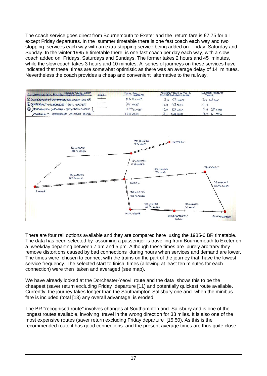The coach service goes direct from Bournemouth to Exeter and the return fare is £7.75 for all except Friday departures. In the summer timetable there is one fast coach each way and two stopping services each way with an extra stopping service being added on Friday, Saturday and Sunday. In the winter 1985-6 timetable there is one fast coach per day each way, with a slow coach added on Fridays, Saturdays and Sundays. The former takes 2 hours and 45 minutes, while the slow coach takes 3 hours and 10 minutes. A series of journeys on these services have indicated that these times are somewhat optimistic as there was an average delay of 14 minutes. Nevertheless the coach provides a cheap and convenient alternative to the railway.



There are four rail options available and they are compared here using the 1985-6 BR timetable. The data has been selected by assuming a passenger is travelling from Bournemouth to Exeter on a weekday departing between 7 am and 5 pm. Although these times are purely arbitrary they remove distortions caused by bad connections during hours when services and demand are lower. The times were chosen to connect with the trains on the part of the journey that have the lowest service frequency. The selected start to finish times (allowing at least ten minutes for each connection) were then taken and averaged (see map).

We have already looked at the Dorchester-Yeovil route and the data shows this to be the cheapest (saver return excluding Friday departure [11) and potentially quickest route available. Currently the journey takes longer than the Southampton-Salisbury one and when the minibus fare is included (total [13) any overall advantage is eroded.

The BR "recognised route" involves changes at Southampton and Salisbury and is one of the longest routes available, involving travel in the wrong direction for 33 miles. It is also one of the most expensive routes (saver return excluding Friday departure [15.50). As this is the recommended route it has good connections and the present average times are thus quite close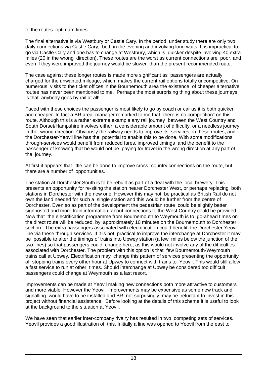to the routes optimum times.

The final alternative is via Westbury or Castle Cary. In the period under study there are only two daily connections via Castle Cary, both in the evening and involving long waits. It is impractical to go via Castle Cary and one has to change at Westbury, which is quicker despite involving 40 extra miles (20 in the wrong direction). These routes are the worst as current connections are poor, and even if they were improved the journey would be slower than the present recommended route.

The case against these longer routes is made more significant as passengers are actually charged for the unwanted mileage, which makes the current rail options totally uncompetitive. On numerous visits to the ticket offices in the Bournemouth area the existence of cheaper alternative routes has never been mentioned to me. Perhaps the most surprising thing about these journeys is that anybody goes by rail at all!

Faced with these choices the passenger is most likely to go by coach or car as it is both quicker and cheaper. In fact a BR area manager remarked to me that "there is no competition" on this route. Although this is a rather extreme example any rail journey between the West Country and South Dorset/Hampshire involves either a considerable amount of difficulty, or a needless journey in the wrong direction. Obviously the railway needs to improve its services on these routes, and the Dorchester-Yeovil line has the potential to enable this to be done. With some modifications through-services would benefit from reduced fares, improved timings and the benefit to the passenger of knowing that he would not be paying for travel in the wrong direction at any part of the journey.

At first it appears that little can be done to improve cross- country connections on the route, but there are a number of opportunities.

The station at Dorchester South is to be rebuilt as part of a deal with the local brewery. This presents an opportunity for re-siting the station nearer Dorchester West, or perhaps replacing both stations in Dorchester with the new one. However this may not be practical as British Rail do not own the land needed for such a single station and this would be further from the centre of Dorchester. Even so as part of the development the pedestrian route could be slightly better signposted and more train information about connections to the West Country could be provided. Now that the electrification programme from Bournemouth to Weymouth is to go-ahead times on the direct route will be reduced, by approximately 10 minutes on the Bournemouth to Dorchester section. The extra passengers associated with electrification could benefit the Dorchester-Yeovil line via these through services. If it is not practical to improve the interchange at Dorchester it may be possible to alter the timings of trains into Upwey station (a few miles below the junction of the two lines) so that passengers could change here, as this would not involve any of the difficulties associated with Dorchester. The problem with this option is that few Bournemouth-Weymouth trains call at Upwey. Electrification may change this pattern of services presenting the opportunity of stopping trains every other hour at Upwey to connect with trains to Yeovil. This would still allow a fast service to run at other times. Should interchange at Upwey be considered too difficult passengers could change at Weymouth as a last resort.

Improvements can be made at Yeovil making new connections both more attractive to customers and more viable. However the Yeovil improvements may be expensive as some new track and signalling would have to be installed and BR, not surprisingly, may be reluctant to invest in this project without financial assistance. Before looking at the details of this scheme it is useful to look at the background to the situation at Yeovil.

We have seen that earlier inter-company rivalry has resulted in two competing sets of services. Yeovil provides a good illustration of this. Initially a line was opened to Yeovil from the east to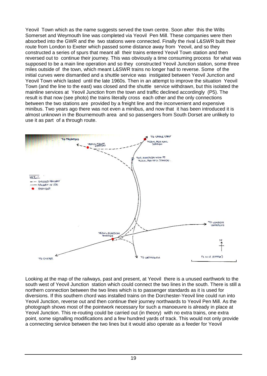Yeovil Town which as the name suggests served the town centre. Soon after this the Wilts Somerset and Weymouth line was completed via Yeovil Pen Mill. These companies were then absorbed into the GWR and the two stations were connected. Finally the rival L&SWR built their route from London to Exeter which passed some distance away from Yeovil, and so they constructed a series of spurs that meant all their trains entered Yeovil Town station and then reversed out to continue their journey. This was obviously a time consuming process for what was supposed to be a main line operation and so they constructed Yeovil Junction station, some three miles outside of the town, which meant L&SWR trains no longer had to reverse. Some of the initial curves were dismantled and a shuttle service was instigated between Yeovil Junction and Yeovil Town which lasted until the late 1960s. Then in an attempt to improve the situation Yeovil Town (and the line to the east) was closed and the shuttle service withdrawn, but this isolated the mainline services at Yeovil Junction from the town and traffic declined accordingly (P5). The result is that now (see photo) the trains literally cross each other and the only connections between the two stations are provided by a freight line and the inconvenient and expensive minibus. Two years ago there was not even a minibus, and now that it has been introduced it is almost unknown in the Bournemouth area and so passengers from South Dorset are unlikely to use it as part of a through route.



Looking at the map of the railways, past and present, at Yeovil there is a unused earthwork to the south west of Yeovil Junction station which could connect the two lines in the south. There is still a northern connection between the two lines which is to passenger standards as it is used for diversions. If this southern chord was installed trains on the Dorchester-Yeovil line could run into Yeovil Junction, reverse out and then continue their journey northwards to Yeovil Pen Mill. As the photograph shows most of the pointwork necessary for such a manoeuvre is already in place at Yeovil Junction. This re-routing could be carried out (in theory) with no extra trains, one extra point, some signalling modifications and a few hundred yards of track. This would not only provide a connecting service between the two lines but it would also operate as a feeder for Yeovil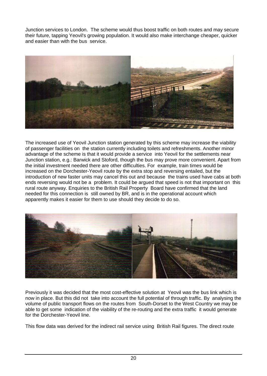Junction services to London. The scheme would thus boost traffic on both routes and may secure their future, tapping Yeovil's growing population. It would also make interchange cheaper, quicker and easier than with the bus service.



The increased use of Yeovil Junction station generated by this scheme may increase the viability of passenger facilities on the station currently including toilets and refreshments. Another minor advantage of the scheme is that it would provide a service into Yeovil for the settlements near Junction station, e.g.: Barwick and Stoford, though the bus may prove more convenient. Apart from the initial investment needed there are other difficulties. For example, train times would be increased on the Dorchester-Yeovil route by the extra stop and reversing entailed, but the introduction of new faster units may cancel this out and because the trains used have cabs at both ends reversing would not be a problem. It could be argued that speed is not that important on this rural route anyway. Enquiries to the British Rail Property Board have confirmed that the land needed for this connection is still owned by BR, and is in the operational account which apparently makes it easier for them to use should they decide to do so.



Previously it was decided that the most cost-effective solution at Yeovil was the bus link which is now in place. But this did not take into account the full potential of through traffic. By analysing the volume of public transport flows on the routes from South-Dorset to the West Country we may be able to get some indication of the viability of the re-routing and the extra traffic it would generate for the Dorchester-Yeovil line.

This flow data was derived for the indirect rail service using British Rail figures. The direct route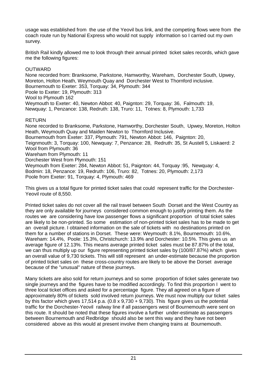usage was established from the use of the Yeovil bus link, and the competing flows were from the coach route run by National Express who would not supply information so I carried out my own survey.

British Rail kindly allowed me to look through their annual printed ticket sales records, which gave me the following figures:

#### **OUTWARD**

None recorded from: Branksome, Parkstone, Hamworthy, Wareham, Dorchester South, Upwey, Moreton, Holton Heath, Weymouth Quay and Dorchester West to Thornford inclusive. Bournemouth to Exeter: 353, Torquay: 34, Plymouth: 344 Poole to Exeter: 19, Plymouth: 313 Wool to Plymouth 162 Weymouth to Exeter: 40, Newton Abbot: 40, Paignton: 29, Torquay: 36, Falmouth: 19, Newquay: 1, Penzance: 138, Redruth: 138, Truro: 11, Totnes: 8, Plymouth: 1,733

#### RETURN

None recorded to Branksome, Parkstone, Hamworthy, Dorchester South, Upwey, Moreton, Holton Heath, Weymouth Quay and Maiden Newton to Thornford Inclusive. Bournemouth from Exeter: 337, Plymouth: 791, Newton Abbot: 146, Paignton: 20, Teignmouth: 3, Torquay: 100, Newquay: 7, Penzance: 28, Redruth: 35, St Austell 5, Liskaerd: 2 Wool from Plymouth: 36 Wareham from Plymouth: 11 Dorchester West from Plymouth: 151 Weymouth from Exeter: 284, Newton Abbot: 51, Paignton: 44, Torquay :95, Newquay: 4, Bodmin: 18, Penzance: 19, Redruth: 106, Truro: 82, Totnes: 20, Plymouth: 2,173 Poole from Exeter: 91, Torquay: 4, Plymouth: 469

This gives us a total figure for printed ticket sales that could represent traffic for the Dorchester-Yeovil route of 8,550.

Printed ticket sales do not cover all the rail travel between South Dorset and the West Country as they are only available for journeys considered common enough to justify printing them. As the routes we are considering have low passenger flows a significant proportion of total ticket sales are likely to be non-printed. So some estimation of non-printed ticket sales has to be made to get an overall picture. I obtained information on the sale of tickets with no destinations printed on them for a number of stations in Dorset. These were: Weymouth: 8.1%, Bournemouth: 10.6%, Wareham: 14.4%, Poole: 15.3%, Christchurch: 13.9% and Dorchester: 10.5%. This gives us an average figure of 12.13%. This means average printed ticket sales must be 87.87% of the total, we can thus multiply up our figure representing printed ticket sales by (100/87.87%) which gives an overall value of 9,730 tickets. This will still represent an under-estimate because the proportion of printed ticket sales on these cross-country routes are likely to be above the Dorset average because of the "unusual" nature of these journeys.

Many tickets are also sold for return journeys and so some proportion of ticket sales generate two single journeys and the figures have to be modified accordingly. To find this proportion I went to three local ticket offices and asked for a percentage figure. They all agreed on a figure of approximately 80% of tickets sold involved return journeys. We must now multiply our ticket sales by this factor which gives 17,514 p.a.  $(0.8 \times 9,730 + 9,730)$ . This figure gives us the potential traffic for the Dorchester-Yeovil railway line if all passengers west of Bournemouth were sent on this route. It should be noted that these figures involve a further under-estimate as passengers between Bournemouth and Redbridge should also be sent this way and they have not been considered above as this would at present involve them changing trains at Bournemouth.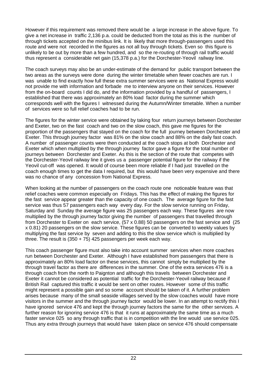However if this requirement was removed there would be a large increase in the above figure. To give a net increase in traffic 2,136 p.a. could be deducted from the total as this is the number of through tickets accepted on the minibus link. It is likely that more through-passengers used this route and were not recorded in the figures as not all buy through tickets. Even so this figure is unlikely to be out by more than a few hundred, and so the re-routing of through rail traffic would thus represent a considerable net gain (15,378 p.a.) for the Dorchester-Yeovil railway line.

The coach surveys may also be an under-estimate of the demand for public transport between the two areas as the surveys were done during the winter timetable when fewer coaches are run. I was unable to find exactly how full these extra summer services were as National Express would not provide me with information and forbade me to interview anyone on their services. However from the on-board counts I did do, and the information provided by a handful of passengers, I established that there was approximately an 80% load factor during the summer which corresponds well with the figures I witnessed during the Autumn/Winter timetable. When a number of services were so full relief coaches had to be run.

The figures for the winter service were obtained by taking four return journeys between Dorchester and Exeter, two on the fast coach and two on the slow coach, this gave me figures for the proportion of the passengers that stayed on the coach for the full journey between Dorchester and Exeter. This through journey factor was 81% on the slow coach and 88% on the daily fast coach. A number of passenger counts were then conducted at the coach stops at both Dorchester and Exeter which when multiplied by the through journey factor gave a figure for the total number of journeys between Dorchester and Exeter. As this is the section of the route that competes with the Dorchester-Yeovil railway line it gives us a passenger potential figure for the railway if the Yeovil cut-off was opened. It would of course been more reliable if I had just travelled on the coach enough times to get the data I required, but this would have been very expensive and there was no chance of any concession from National Express.

When looking at the number of passengers on the coach route one noticeable feature was that relief coaches were common especially on Fridays. This has the effect of making the figures for the fast service appear greater than the capacity of one coach. The average figure for the fast service was thus 57 passengers each way every day. For the slow service running on Friday, Saturday and Sunday the average figure was 25 passengers each way. These figures are now multiplied by the through journey factor giving the number of passengers that travelled through from Dorchester to Exeter on each service, (57 x 0.88) 50 passengers on the fast service and (25 x 0.81) 20 passengers on the slow service. These figures can be converted to weekly values by multiplying the fast service by seven and adding to this the slow service which is multiplied by three. The result is (350 + 75) 425 passengers per week each way.

This coach passenger figure must also take into account summer services when more coaches run between Dorchester and Exeter. Although I have established from passengers that there is approximately an 80% load factor on these services, this cannot simply be multiplied by the through travel factor as there are differences in the summer. One of the extra services 476 is a through coach from the north to Paignton and although this travels between Dorchester and Exeter it cannot be considered as potential traffic for the Dorchester-Yeovil railway because if British Rail captured this traffic it would be sent on other routes. However some of this traffic might represent a possible gain and so some account should be taken of it. A further problem arises because many of the small seaside villages served by the slow coaches would have more visitors in the summer and the through journey factor would be lower. In an attempt to rectify this I have ignored service 476 and kept the through journey factors the same for the other services. A further reason for ignoring service 476 is that it runs at approximately the same time as a much faster service 025 so any through traffic that is in competition with the line would use service 025. Thus any extra through journeys that would have taken place on service 476 should compensate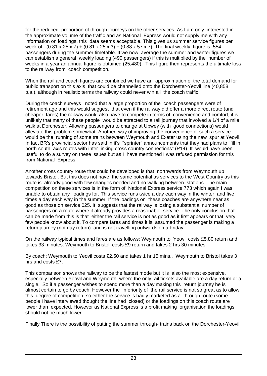for the reduced proportion of through journeys on the other services. As I am only interested in the approximate volume of the traffic and as National Express would not supply me with any information on loadings, this data seems acceptable. This gives us summer service figures per week of: (0.81 x 25 x 7) + (0.81 x 25 x 3) + (0.88 x 57 x 7). The final weekly figure is: 554 passengers during the summer timetable. If we now average the summer and winter figures we can establish a general weekly loading (490 passengers) if this is multiplied by the number of weeks in a year an annual figure is obtained (25,480). This figure then represents the ultimate loss to the railway from coach competition.

When the rail and coach figures are combined we have an approximation of the total demand for public transport on this axis that could be channelled onto the Dorchester-Yeovil line (40,858 p.a.), although in realistic terms the railway could never win all the coach traffic.

During the coach surveys I noted that a large proportion of the coach passengers were of retirement age and this would suggest that even if the railway did offer a more direct route (and cheaper fares) the railway would also have to compete in terms of convenience and comfort, it is unlikely that many of these people would be attracted to a rail journey that involved a 1/4 of a mile walk at Dorchester. Allowing passengers to change at Upwey (with good connections) would alleviate this problem somewhat. Another way of improving the convenience of such a service would be the running of some trains between Weymouth and Exeter using the new spur at Yeovil. In fact BR's provincial sector has said in it's "sprinter" announcements that they had plans to "fill in north-south axis routes with inter-linking cross country connections" (P14). It would have been useful to do a survey on these issues but as I have mentioned I was refused permission for this from National Express.

Another cross country route that could be developed is that northwards from Weymouth up towards Bristol. But this does not have the same potential as services to the West Country as this route is already good with few changes needed and no walking between stations. The main competition on these services is in the form of National Express service 773 which again I was unable to obtain any loadings for. This service runs twice a day each way in the winter and five times a day each way in the summer. If the loadings on these coaches are anywhere near as good as those on service 025. It suggests that the railway is losing a substantial number of passengers on a route where it already provides a reasonable service. The only conclusion that can be made from this is that either the rail service is not as good as it first appears or that very few people know about it. To compare fares and times it is assumed the passenger is making a return journey (not day return) and is not travelling outwards on a Friday.

On the railway typical times and fares are as follows: Weymouth to Yeovil costs £5.80 return and takes 33 minutes. Weymouth to Bristol costs £9 return and takes 2 hrs 30 minutes.

By coach: Weymouth to Yeovil costs £2.50 and takes 1 hr 15 mins.. Weymouth to Bristol takes 3 hrs and costs £7.

This comparison shows the railway to be the fastest mode but it is also the most expensive, especially between Yeovil and Weymouth where the only rail tickets available are a day return or a single. So if a passenger wishes to spend more than a day making this return journey he is almost certain to go by coach. However the inferiority of the rail service is not so great as to allow this degree of competition, so either the service is badly marketed as a through route (some people I have interviewed thought the line had closed) or the loadings on this coach route are lower than expected. However as National Express is a profit making organisation the loadings should not be much lower.

Finally There is the possibility of putting the summer through- trains back on the Dorchester-Yeovil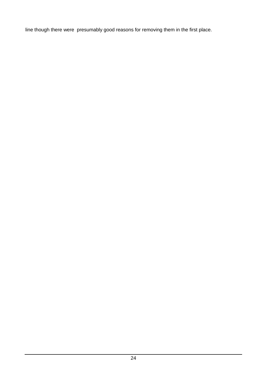line though there were presumably good reasons for removing them in the first place.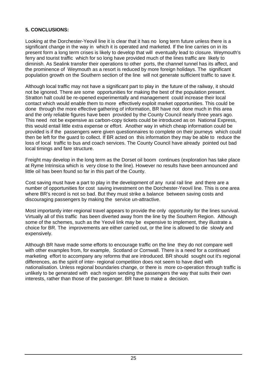## **5. CONCLUSIONS:**

Looking at the Dorchester-Yeovil line it is clear that it has no long term future unless there is a significant change in the way in which it is operated and marketed. If the line carries on in its present form a long term crises is likely to develop that will eventually lead to closure. Weymouth's ferry and tourist traffic which for so long have provided much of the lines traffic are likely to diminish. As Sealink transfer their operations to other ports, the channel tunnel has its affect, and the prominence of Weymouth as a resort is reduced by more foreign holidays. The significant population growth on the Southern section of the line will not generate sufficient traffic to save it.

Although local traffic may not have a significant part to play in the future of the railway, it should not be ignored. There are some opportunities for making the best of the population present. Stratton halt could be re-opened experimentally and management could increase their local contact which would enable them to more effectively exploit market opportunities. This could be done through the more effective gathering of information, BR have not done much in this area and the only reliable figures have been provided by the County Council nearly three years ago. This need not be expensive as carbon-copy tickets could be introduced as on National Express, this would entail little extra expense or effort. Another way in which cheap information could be provided is if the passengers were given questionnaires to complete on their journeys which could then be left for the guard to collect. If BR acted on this information they may be able to reduce the loss of local traffic to bus and coach services. The County Council have already pointed out bad local timings and fare structure.

Freight may develop in the long term as the Dorset oil boom continues (exploration has take place at Ryme Intrinsica which is very close to the line). However no results have been announced and little oil has been found so far in this part of the County.

Cost saving must have a part to play in the development of any rural rail line and there are a number of opportunities for cost saving investment on the Dorchester-Yeovil line. This is one area where BR's record is not so bad. But they must strike a balance between saving costs and discouraging passengers by making the service un-attractive.

Most importantly inter-regional travel appears to provide the only opportunity for the lines survival. Virtually all of this traffic has been diverted away from the line by the Southern Region. Although some of the schemes, such as the Yeovil link may be expensive to implement, they illustrate a choice for BR. The improvements are either carried out, or the line is allowed to die slowly and expensively.

Although BR have made some efforts to encourage traffic on the line they do not compare well with other examples from, for example, Scotland or Cornwall. There is a need for a continued marketing effort to accompany any reforms that are introduced. BR should sought out it's regional differences, as the spirit of inter- regional competition does not seem to have died with nationalisation. Unless regional boundaries change, or there is more co-operation through traffic is unlikely to be generated with each region sending the passengers the way that suits their own interests, rather than those of the passenger. BR have to make a decision.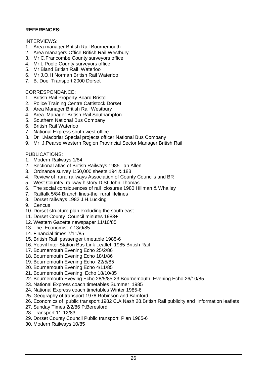## **REFERENCES:**

#### INTERVIEWS:

- 1. Area manager British Rail Bournemouth
- 2. Area managers Office British Rail Westbury
- 3. Mr C.Francombe County surveyors office
- 4. Mr L.Poole County surveyors office
- 5. Mr Bland British Rail Waterloo
- 6. Mr J.O.H Norman British Rail Waterloo
- 7. B. Doe Transport 2000 Dorset

#### CORRESPONDANCE:

- 1. British Rail Property Board Bristol
- 2. Police Training Centre Cattistock Dorset
- 3. Area Manager British Rail Westbury
- 4. Area Manager British Rail Southampton
- 5. Southern National Bus Company
- 6. British Rail Waterloo
- 7. National Express south west office
- 8. Dr I.Macbriar Special projects officer National Bus Company
- 9. Mr J.Pearse Western Region Provincial Sector Manager British Rail

## PUBLICATIONS:

- 1. Modern Railways 1/84
- 2. Sectional atlas of British Railways 1985 Ian Allen
- 3. Ordnance survey 1:50,000 sheets 194 & 183
- 4. Review of rural railways Association of County Councils and BR
- 5. West Country railway history D.St John Thomas
- 6. The social consiquences of rail closures 1980 Hillman & Whalley
- 7. Railtalk 5/84 Branch lines-the rural lifelines
- 8. Dorset railways 1982 J.H.Lucking
- 9. Cencus
- 10. Dorset structure plan excluding the south east
- 11. Dorset County Council minutes 1983+
- 12. Western Gazette newspaper 11/10/85
- 13. The Economist 7-13/9/85
- 14. Financial times 7/11/85
- 15. British Rail passenger timetable 1985-6
- 16. Yeovil Inter Station Bus Link Leaflet 1985 British Rail
- 17. Bournemouth Evening Echo 25/2/86
- 18. Bournemouth Evening Echo 18/1/86
- 19. Bournemouth Evening Echo 22/5/85
- 20. Bournemouth Evening Echo 4/11/85
- 21. Bournemouth Evening Echo 18/10/85
- 22. Bournemouth Eveving Echo 28/5/85 23.Bournemouth Evening Echo 26/10/85
- 23. National Express coach timetables Summer 1985
- 24. National Express coach timetables Winter 1985-6
- 25. Geography of transport 1978 Robinson and Bamford
- 26. Economics of public transport 1982 C.A Nash 28.British Rail publicity and information leaflets
- 27. Sunday Times 2/2/86 P.Beresford
- 28. Transport 11-12/83
- 29. Dorset County Council Public transport Plan 1985-6
- 30. Modern Railways 10/85